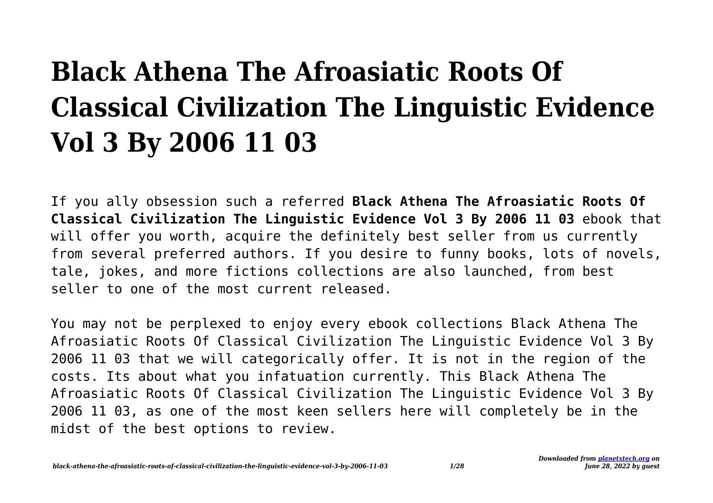## **Black Athena The Afroasiatic Roots Of Classical Civilization The Linguistic Evidence Vol 3 By 2006 11 03**

If you ally obsession such a referred **Black Athena The Afroasiatic Roots Of Classical Civilization The Linguistic Evidence Vol 3 By 2006 11 03** ebook that will offer you worth, acquire the definitely best seller from us currently from several preferred authors. If you desire to funny books, lots of novels, tale, jokes, and more fictions collections are also launched, from best seller to one of the most current released.

You may not be perplexed to enjoy every ebook collections Black Athena The Afroasiatic Roots Of Classical Civilization The Linguistic Evidence Vol 3 By 2006 11 03 that we will categorically offer. It is not in the region of the costs. Its about what you infatuation currently. This Black Athena The Afroasiatic Roots Of Classical Civilization The Linguistic Evidence Vol 3 By 2006 11 03, as one of the most keen sellers here will completely be in the midst of the best options to review.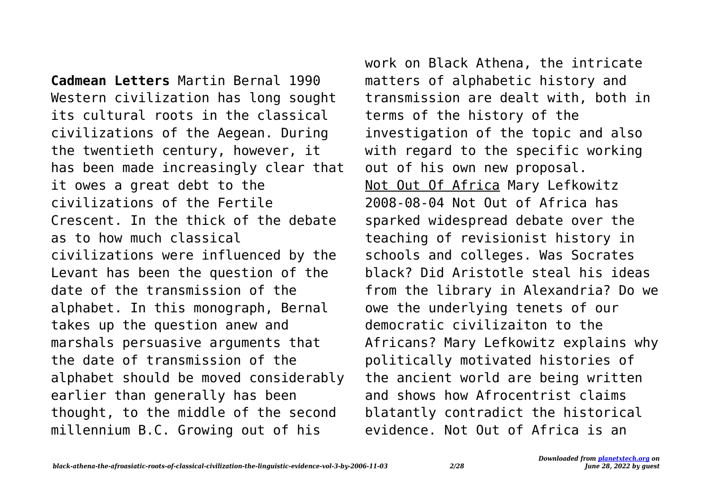**Cadmean Letters** Martin Bernal 1990 Western civilization has long sought its cultural roots in the classical civilizations of the Aegean. During the twentieth century, however, it has been made increasingly clear that it owes a great debt to the civilizations of the Fertile Crescent. In the thick of the debate as to how much classical civilizations were influenced by the Levant has been the question of the date of the transmission of the alphabet. In this monograph, Bernal takes up the question anew and marshals persuasive arguments that the date of transmission of the alphabet should be moved considerably earlier than generally has been thought, to the middle of the second millennium B.C. Growing out of his

work on Black Athena, the intricate matters of alphabetic history and transmission are dealt with, both in terms of the history of the investigation of the topic and also with regard to the specific working out of his own new proposal. Not Out Of Africa Mary Lefkowitz 2008-08-04 Not Out of Africa has sparked widespread debate over the teaching of revisionist history in schools and colleges. Was Socrates black? Did Aristotle steal his ideas from the library in Alexandria? Do we owe the underlying tenets of our democratic civilizaiton to the Africans? Mary Lefkowitz explains why politically motivated histories of the ancient world are being written and shows how Afrocentrist claims blatantly contradict the historical evidence. Not Out of Africa is an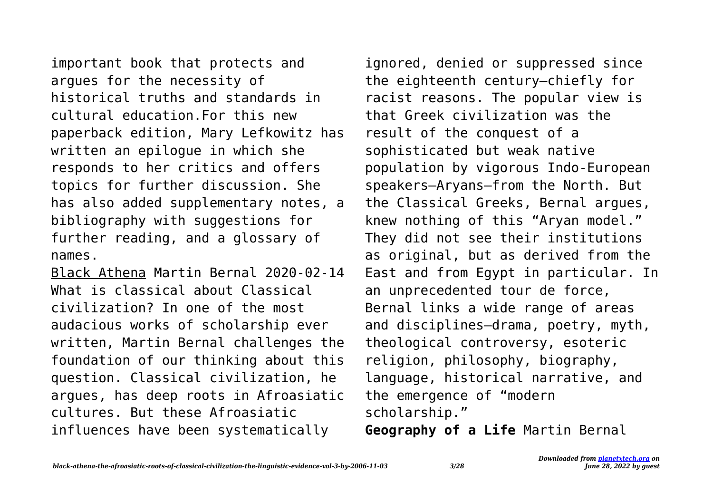important book that protects and argues for the necessity of historical truths and standards in cultural education.For this new paperback edition, Mary Lefkowitz has written an epilogue in which she responds to her critics and offers topics for further discussion. She has also added supplementary notes, a bibliography with suggestions for further reading, and a glossary of names.

Black Athena Martin Bernal 2020-02-14 What is classical about Classical civilization? In one of the most audacious works of scholarship ever written, Martin Bernal challenges the foundation of our thinking about this question. Classical civilization, he argues, has deep roots in Afroasiatic cultures. But these Afroasiatic influences have been systematically

ignored, denied or suppressed since the eighteenth century—chiefly for racist reasons. The popular view is that Greek civilization was the result of the conquest of a sophisticated but weak native population by vigorous Indo-European speakers—Aryans—from the North. But the Classical Greeks, Bernal argues, knew nothing of this "Aryan model." They did not see their institutions as original, but as derived from the East and from Egypt in particular. In an unprecedented tour de force, Bernal links a wide range of areas and disciplines—drama, poetry, myth, theological controversy, esoteric religion, philosophy, biography, language, historical narrative, and the emergence of "modern scholarship."

**Geography of a Life** Martin Bernal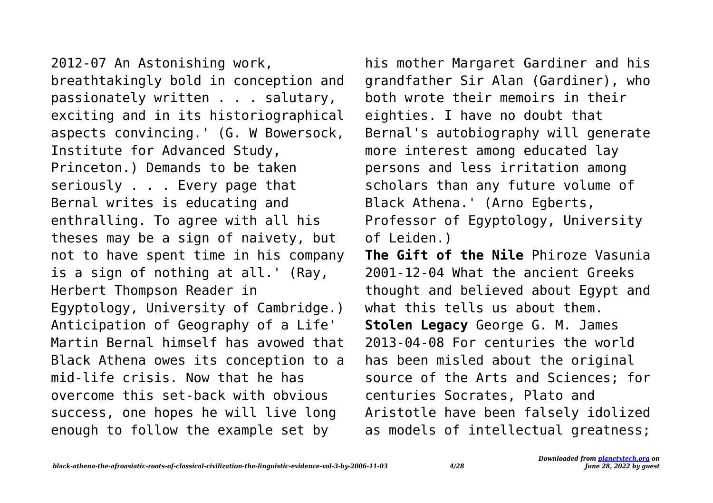2012-07 An Astonishing work, breathtakingly bold in conception and passionately written . . . salutary, exciting and in its historiographical aspects convincing.' (G. W Bowersock, Institute for Advanced Study, Princeton.) Demands to be taken seriously . . . Every page that Bernal writes is educating and enthralling. To agree with all his theses may be a sign of naivety, but not to have spent time in his company is a sign of nothing at all.' (Ray, Herbert Thompson Reader in Egyptology, University of Cambridge.) Anticipation of Geography of a Life' Martin Bernal himself has avowed that Black Athena owes its conception to a mid-life crisis. Now that he has overcome this set-back with obvious success, one hopes he will live long enough to follow the example set by

his mother Margaret Gardiner and his grandfather Sir Alan (Gardiner), who both wrote their memoirs in their eighties. I have no doubt that Bernal's autobiography will generate more interest among educated lay persons and less irritation among scholars than any future volume of Black Athena.' (Arno Egberts, Professor of Egyptology, University of Leiden.)

**The Gift of the Nile** Phiroze Vasunia 2001-12-04 What the ancient Greeks thought and believed about Egypt and what this tells us about them. **Stolen Legacy** George G. M. James 2013-04-08 For centuries the world has been misled about the original source of the Arts and Sciences; for centuries Socrates, Plato and Aristotle have been falsely idolized as models of intellectual greatness;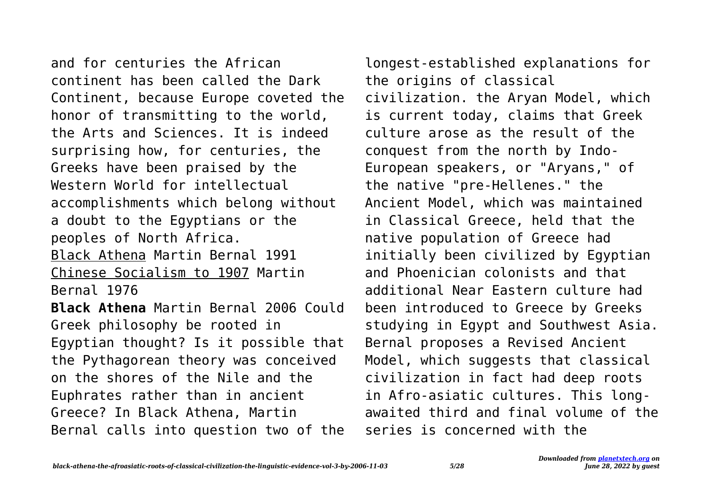and for centuries the African continent has been called the Dark Continent, because Europe coveted the honor of transmitting to the world, the Arts and Sciences. It is indeed surprising how, for centuries, the Greeks have been praised by the Western World for intellectual accomplishments which belong without a doubt to the Egyptians or the peoples of North Africa. Black Athena Martin Bernal 1991 Chinese Socialism to 1907 Martin Bernal 1976 **Black Athena** Martin Bernal 2006 Could Greek philosophy be rooted in Egyptian thought? Is it possible that the Pythagorean theory was conceived on the shores of the Nile and the Euphrates rather than in ancient Greece? In Black Athena, Martin Bernal calls into question two of the

longest-established explanations for the origins of classical civilization. the Aryan Model, which is current today, claims that Greek culture arose as the result of the conquest from the north by Indo-European speakers, or "Aryans," of the native "pre-Hellenes." the Ancient Model, which was maintained in Classical Greece, held that the native population of Greece had initially been civilized by Egyptian and Phoenician colonists and that additional Near Eastern culture had been introduced to Greece by Greeks studying in Egypt and Southwest Asia. Bernal proposes a Revised Ancient Model, which suggests that classical civilization in fact had deep roots in Afro-asiatic cultures. This longawaited third and final volume of the series is concerned with the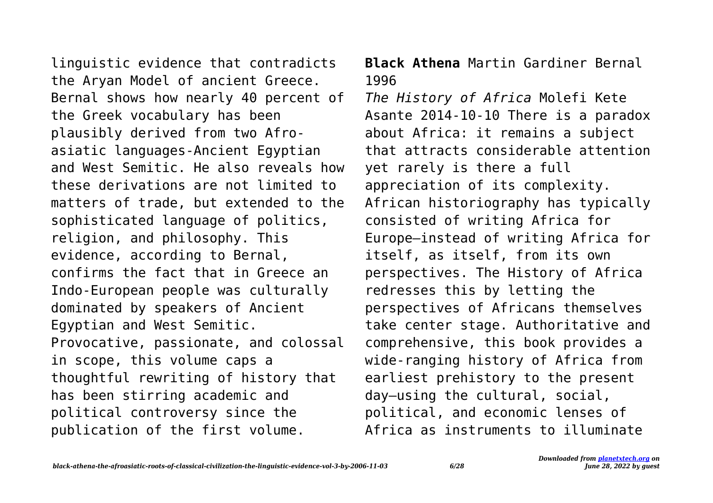linguistic evidence that contradicts the Aryan Model of ancient Greece. Bernal shows how nearly 40 percent of the Greek vocabulary has been plausibly derived from two Afroasiatic languages-Ancient Egyptian and West Semitic. He also reveals how these derivations are not limited to matters of trade, but extended to the sophisticated language of politics, religion, and philosophy. This evidence, according to Bernal, confirms the fact that in Greece an Indo-European people was culturally dominated by speakers of Ancient Egyptian and West Semitic. Provocative, passionate, and colossal in scope, this volume caps a thoughtful rewriting of history that has been stirring academic and political controversy since the publication of the first volume.

**Black Athena** Martin Gardiner Bernal 1996

*The History of Africa* Molefi Kete Asante 2014-10-10 There is a paradox about Africa: it remains a subject that attracts considerable attention yet rarely is there a full appreciation of its complexity. African historiography has typically consisted of writing Africa for Europe—instead of writing Africa for itself, as itself, from its own perspectives. The History of Africa redresses this by letting the perspectives of Africans themselves take center stage. Authoritative and comprehensive, this book provides a wide-ranging history of Africa from earliest prehistory to the present day—using the cultural, social, political, and economic lenses of Africa as instruments to illuminate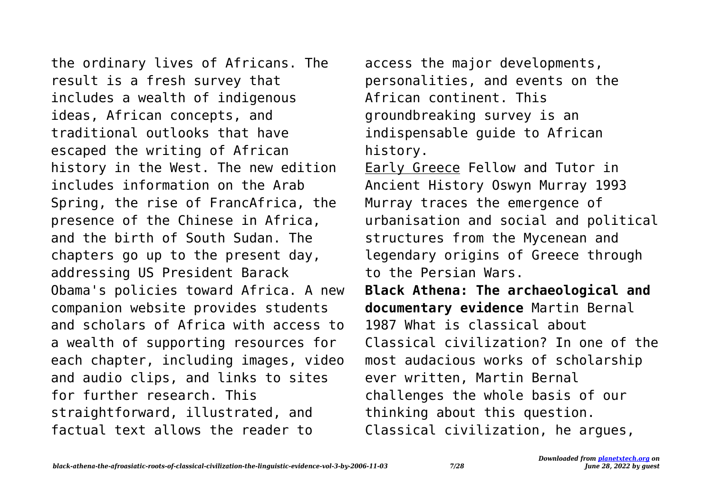the ordinary lives of Africans. The result is a fresh survey that includes a wealth of indigenous ideas, African concepts, and traditional outlooks that have escaped the writing of African history in the West. The new edition includes information on the Arab Spring, the rise of FrancAfrica, the presence of the Chinese in Africa, and the birth of South Sudan. The chapters go up to the present day, addressing US President Barack Obama's policies toward Africa. A new companion website provides students and scholars of Africa with access to a wealth of supporting resources for each chapter, including images, video and audio clips, and links to sites for further research. This straightforward, illustrated, and factual text allows the reader to

access the major developments, personalities, and events on the African continent. This groundbreaking survey is an indispensable guide to African history.

Early Greece Fellow and Tutor in Ancient History Oswyn Murray 1993 Murray traces the emergence of urbanisation and social and political structures from the Mycenean and legendary origins of Greece through to the Persian Wars.

**Black Athena: The archaeological and documentary evidence** Martin Bernal 1987 What is classical about Classical civilization? In one of the most audacious works of scholarship ever written, Martin Bernal challenges the whole basis of our thinking about this question. Classical civilization, he argues,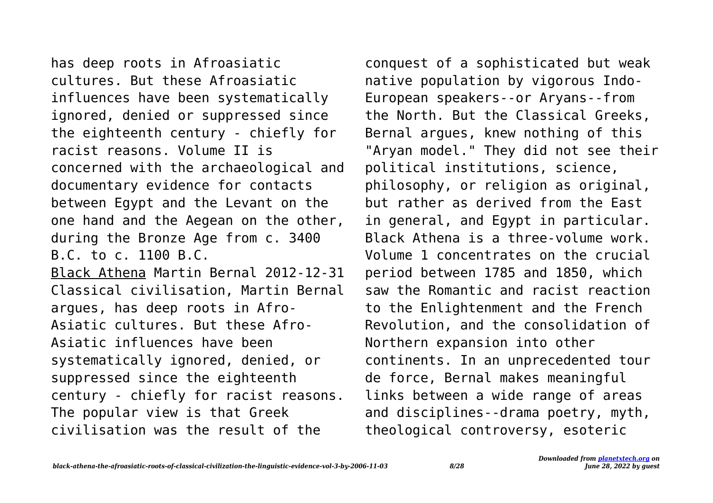has deep roots in Afroasiatic cultures. But these Afroasiatic influences have been systematically ignored, denied or suppressed since the eighteenth century - chiefly for racist reasons. Volume II is concerned with the archaeological and documentary evidence for contacts between Egypt and the Levant on the one hand and the Aegean on the other, during the Bronze Age from c. 3400 B.C. to c. 1100 B.C. Black Athena Martin Bernal 2012-12-31 Classical civilisation, Martin Bernal argues, has deep roots in Afro-Asiatic cultures. But these Afro-Asiatic influences have been systematically ignored, denied, or suppressed since the eighteenth century - chiefly for racist reasons. The popular view is that Greek civilisation was the result of the

conquest of a sophisticated but weak native population by vigorous Indo-European speakers--or Aryans--from the North. But the Classical Greeks, Bernal argues, knew nothing of this "Aryan model." They did not see their political institutions, science, philosophy, or religion as original, but rather as derived from the East in general, and Egypt in particular. Black Athena is a three-volume work. Volume 1 concentrates on the crucial period between 1785 and 1850, which saw the Romantic and racist reaction to the Enlightenment and the French Revolution, and the consolidation of Northern expansion into other continents. In an unprecedented tour de force, Bernal makes meaningful links between a wide range of areas and disciplines--drama poetry, myth, theological controversy, esoteric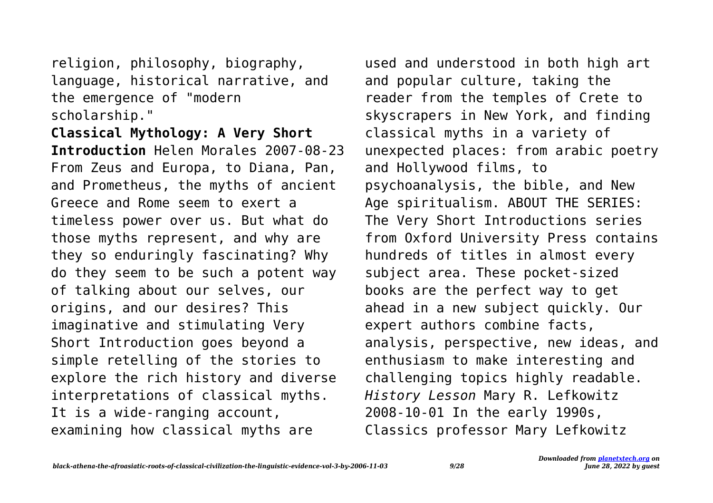religion, philosophy, biography, language, historical narrative, and the emergence of "modern scholarship."

**Classical Mythology: A Very Short Introduction** Helen Morales 2007-08-23 From Zeus and Europa, to Diana, Pan, and Prometheus, the myths of ancient Greece and Rome seem to exert a timeless power over us. But what do those myths represent, and why are they so enduringly fascinating? Why do they seem to be such a potent way of talking about our selves, our origins, and our desires? This imaginative and stimulating Very Short Introduction goes beyond a simple retelling of the stories to explore the rich history and diverse interpretations of classical myths. It is a wide-ranging account, examining how classical myths are

used and understood in both high art and popular culture, taking the reader from the temples of Crete to skyscrapers in New York, and finding classical myths in a variety of unexpected places: from arabic poetry and Hollywood films, to psychoanalysis, the bible, and New Age spiritualism. ABOUT THE SERIES: The Very Short Introductions series from Oxford University Press contains hundreds of titles in almost every subject area. These pocket-sized books are the perfect way to get ahead in a new subject quickly. Our expert authors combine facts, analysis, perspective, new ideas, and enthusiasm to make interesting and challenging topics highly readable. *History Lesson* Mary R. Lefkowitz 2008-10-01 In the early 1990s, Classics professor Mary Lefkowitz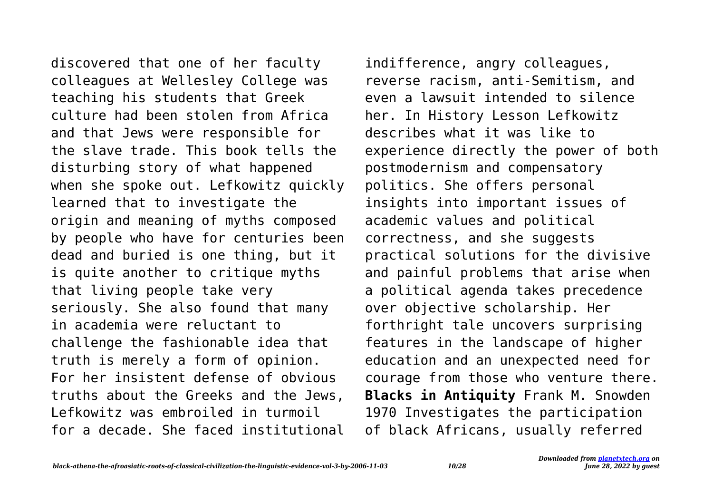discovered that one of her faculty colleagues at Wellesley College was teaching his students that Greek culture had been stolen from Africa and that Jews were responsible for the slave trade. This book tells the disturbing story of what happened when she spoke out. Lefkowitz quickly learned that to investigate the origin and meaning of myths composed by people who have for centuries been dead and buried is one thing, but it is quite another to critique myths that living people take very seriously. She also found that many in academia were reluctant to challenge the fashionable idea that truth is merely a form of opinion. For her insistent defense of obvious truths about the Greeks and the Jews, Lefkowitz was embroiled in turmoil for a decade. She faced institutional

indifference, angry colleagues, reverse racism, anti-Semitism, and even a lawsuit intended to silence her. In History Lesson Lefkowitz describes what it was like to experience directly the power of both postmodernism and compensatory politics. She offers personal insights into important issues of academic values and political correctness, and she suggests practical solutions for the divisive and painful problems that arise when a political agenda takes precedence over objective scholarship. Her forthright tale uncovers surprising features in the landscape of higher education and an unexpected need for courage from those who venture there. **Blacks in Antiquity** Frank M. Snowden 1970 Investigates the participation of black Africans, usually referred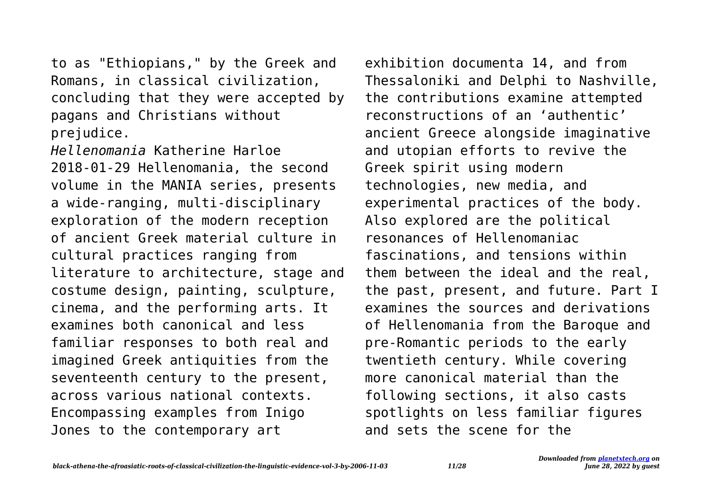to as "Ethiopians," by the Greek and Romans, in classical civilization, concluding that they were accepted by pagans and Christians without prejudice.

*Hellenomania* Katherine Harloe 2018-01-29 Hellenomania, the second volume in the MANIA series, presents a wide-ranging, multi-disciplinary exploration of the modern reception of ancient Greek material culture in cultural practices ranging from literature to architecture, stage and costume design, painting, sculpture, cinema, and the performing arts. It examines both canonical and less familiar responses to both real and imagined Greek antiquities from the seventeenth century to the present, across various national contexts. Encompassing examples from Inigo Jones to the contemporary art

exhibition documenta 14, and from Thessaloniki and Delphi to Nashville, the contributions examine attempted reconstructions of an 'authentic' ancient Greece alongside imaginative and utopian efforts to revive the Greek spirit using modern technologies, new media, and experimental practices of the body. Also explored are the political resonances of Hellenomaniac fascinations, and tensions within them between the ideal and the real, the past, present, and future. Part I examines the sources and derivations of Hellenomania from the Baroque and pre-Romantic periods to the early twentieth century. While covering more canonical material than the following sections, it also casts spotlights on less familiar figures and sets the scene for the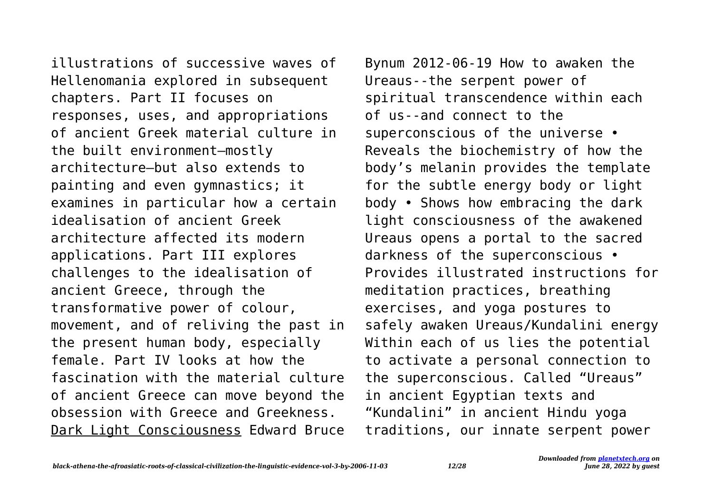illustrations of successive waves of Hellenomania explored in subsequent chapters. Part II focuses on responses, uses, and appropriations of ancient Greek material culture in the built environment—mostly architecture—but also extends to painting and even gymnastics; it examines in particular how a certain idealisation of ancient Greek architecture affected its modern applications. Part III explores challenges to the idealisation of ancient Greece, through the transformative power of colour, movement, and of reliving the past in the present human body, especially female. Part IV looks at how the fascination with the material culture of ancient Greece can move beyond the obsession with Greece and Greekness. Dark Light Consciousness Edward Bruce

Bynum 2012-06-19 How to awaken the Ureaus--the serpent power of spiritual transcendence within each of us--and connect to the superconscious of the universe • Reveals the biochemistry of how the body's melanin provides the template for the subtle energy body or light body • Shows how embracing the dark light consciousness of the awakened Ureaus opens a portal to the sacred darkness of the superconscious • Provides illustrated instructions for meditation practices, breathing exercises, and yoga postures to safely awaken Ureaus/Kundalini energy Within each of us lies the potential to activate a personal connection to the superconscious. Called "Ureaus" in ancient Egyptian texts and "Kundalini" in ancient Hindu yoga traditions, our innate serpent power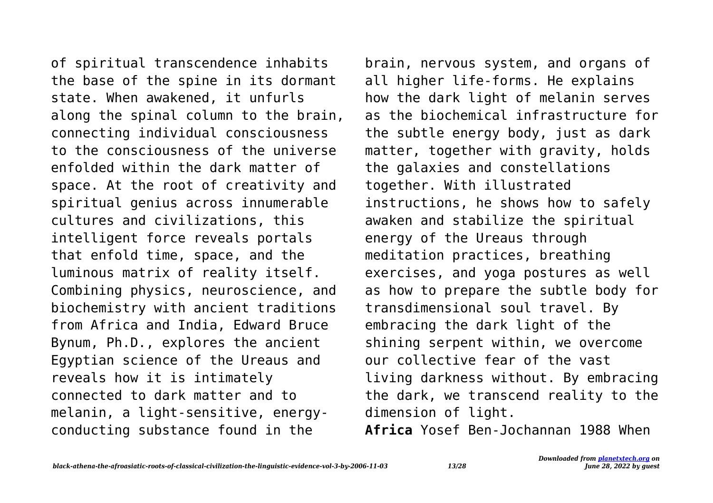of spiritual transcendence inhabits the base of the spine in its dormant state. When awakened, it unfurls along the spinal column to the brain, connecting individual consciousness to the consciousness of the universe enfolded within the dark matter of space. At the root of creativity and spiritual genius across innumerable cultures and civilizations, this intelligent force reveals portals that enfold time, space, and the luminous matrix of reality itself. Combining physics, neuroscience, and biochemistry with ancient traditions from Africa and India, Edward Bruce Bynum, Ph.D., explores the ancient Egyptian science of the Ureaus and reveals how it is intimately connected to dark matter and to melanin, a light-sensitive, energyconducting substance found in the

brain, nervous system, and organs of all higher life-forms. He explains how the dark light of melanin serves as the biochemical infrastructure for the subtle energy body, just as dark matter, together with gravity, holds the galaxies and constellations together. With illustrated instructions, he shows how to safely awaken and stabilize the spiritual energy of the Ureaus through meditation practices, breathing exercises, and yoga postures as well as how to prepare the subtle body for transdimensional soul travel. By embracing the dark light of the shining serpent within, we overcome our collective fear of the vast living darkness without. By embracing the dark, we transcend reality to the dimension of light. **Africa** Yosef Ben-Jochannan 1988 When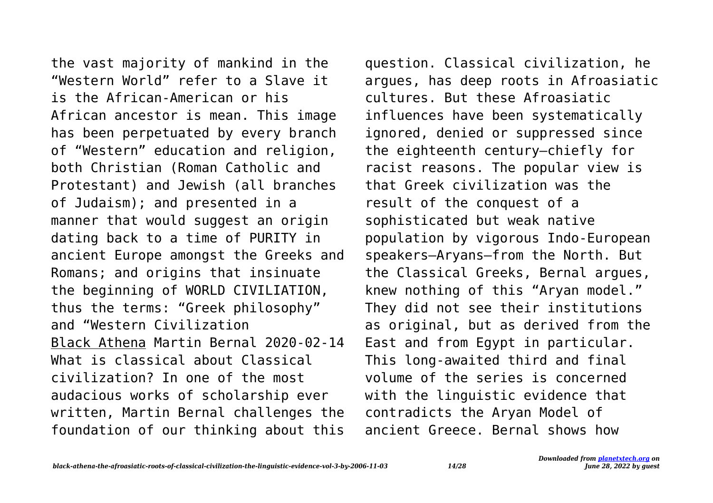the vast majority of mankind in the "Western World" refer to a Slave it is the African-American or his African ancestor is mean. This image has been perpetuated by every branch of "Western" education and religion, both Christian (Roman Catholic and Protestant) and Jewish (all branches of Judaism); and presented in a manner that would suggest an origin dating back to a time of PURITY in ancient Europe amongst the Greeks and Romans; and origins that insinuate the beginning of WORLD CIVILIATION, thus the terms: "Greek philosophy" and "Western Civilization Black Athena Martin Bernal 2020-02-14 What is classical about Classical civilization? In one of the most audacious works of scholarship ever written, Martin Bernal challenges the foundation of our thinking about this

question. Classical civilization, he argues, has deep roots in Afroasiatic cultures. But these Afroasiatic influences have been systematically ignored, denied or suppressed since the eighteenth century—chiefly for racist reasons. The popular view is that Greek civilization was the result of the conquest of a sophisticated but weak native population by vigorous Indo-European speakers—Aryans—from the North. But the Classical Greeks, Bernal argues, knew nothing of this "Aryan model." They did not see their institutions as original, but as derived from the East and from Egypt in particular. This long-awaited third and final volume of the series is concerned with the linguistic evidence that contradicts the Aryan Model of ancient Greece. Bernal shows how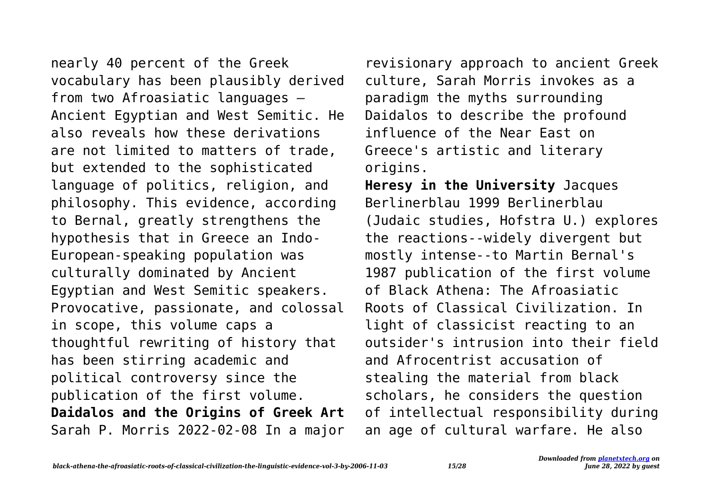nearly 40 percent of the Greek vocabulary has been plausibly derived from two Afroasiatic languages – Ancient Egyptian and West Semitic. He also reveals how these derivations are not limited to matters of trade, but extended to the sophisticated language of politics, religion, and philosophy. This evidence, according to Bernal, greatly strengthens the hypothesis that in Greece an Indo-European-speaking population was culturally dominated by Ancient Egyptian and West Semitic speakers. Provocative, passionate, and colossal in scope, this volume caps a thoughtful rewriting of history that has been stirring academic and political controversy since the publication of the first volume. **Daidalos and the Origins of Greek Art** Sarah P. Morris 2022-02-08 In a major

revisionary approach to ancient Greek culture, Sarah Morris invokes as a paradigm the myths surrounding Daidalos to describe the profound influence of the Near East on Greece's artistic and literary origins.

**Heresy in the University** Jacques Berlinerblau 1999 Berlinerblau (Judaic studies, Hofstra U.) explores the reactions--widely divergent but mostly intense--to Martin Bernal's 1987 publication of the first volume of Black Athena: The Afroasiatic Roots of Classical Civilization. In light of classicist reacting to an outsider's intrusion into their field and Afrocentrist accusation of stealing the material from black scholars, he considers the question of intellectual responsibility during an age of cultural warfare. He also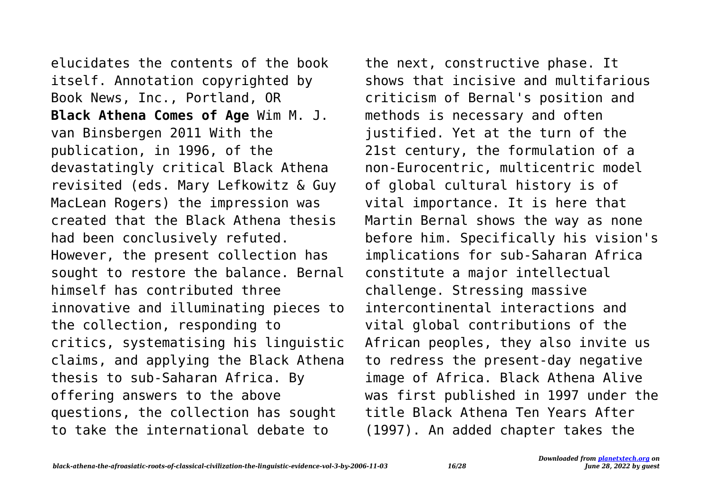elucidates the contents of the book itself. Annotation copyrighted by Book News, Inc., Portland, OR **Black Athena Comes of Age** Wim M. J. van Binsbergen 2011 With the publication, in 1996, of the devastatingly critical Black Athena revisited (eds. Mary Lefkowitz & Guy MacLean Rogers) the impression was created that the Black Athena thesis had been conclusively refuted. However, the present collection has sought to restore the balance. Bernal himself has contributed three innovative and illuminating pieces to the collection, responding to critics, systematising his linguistic claims, and applying the Black Athena thesis to sub-Saharan Africa. By offering answers to the above questions, the collection has sought to take the international debate to

the next, constructive phase. It shows that incisive and multifarious criticism of Bernal's position and methods is necessary and often justified. Yet at the turn of the 21st century, the formulation of a non-Eurocentric, multicentric model of global cultural history is of vital importance. It is here that Martin Bernal shows the way as none before him. Specifically his vision's implications for sub-Saharan Africa constitute a major intellectual challenge. Stressing massive intercontinental interactions and vital global contributions of the African peoples, they also invite us to redress the present-day negative image of Africa. Black Athena Alive was first published in 1997 under the title Black Athena Ten Years After (1997). An added chapter takes the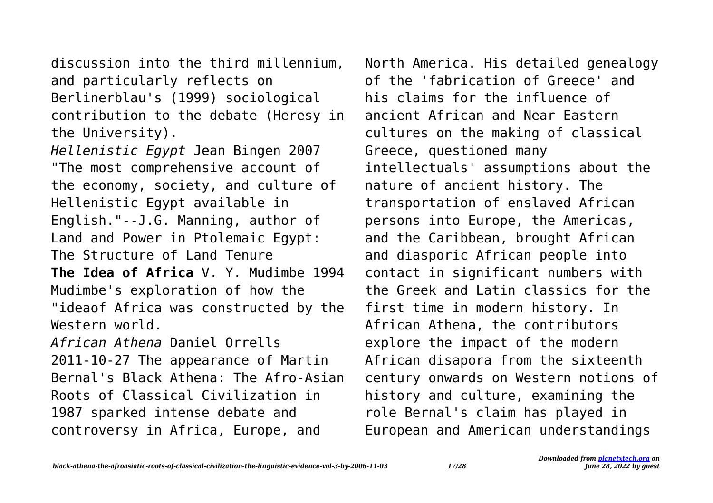discussion into the third millennium, and particularly reflects on Berlinerblau's (1999) sociological contribution to the debate (Heresy in the University).

*Hellenistic Egypt* Jean Bingen 2007 "The most comprehensive account of the economy, society, and culture of Hellenistic Egypt available in English."--J.G. Manning, author of Land and Power in Ptolemaic Egypt: The Structure of Land Tenure **The Idea of Africa** V. Y. Mudimbe 1994 Mudimbe's exploration of how the "ideaof Africa was constructed by the Western world. *African Athena* Daniel Orrells

2011-10-27 The appearance of Martin Bernal's Black Athena: The Afro-Asian Roots of Classical Civilization in 1987 sparked intense debate and controversy in Africa, Europe, and

North America. His detailed genealogy of the 'fabrication of Greece' and his claims for the influence of ancient African and Near Eastern cultures on the making of classical Greece, questioned many intellectuals' assumptions about the nature of ancient history. The transportation of enslaved African persons into Europe, the Americas, and the Caribbean, brought African and diasporic African people into contact in significant numbers with the Greek and Latin classics for the first time in modern history. In African Athena, the contributors explore the impact of the modern African disapora from the sixteenth century onwards on Western notions of history and culture, examining the role Bernal's claim has played in European and American understandings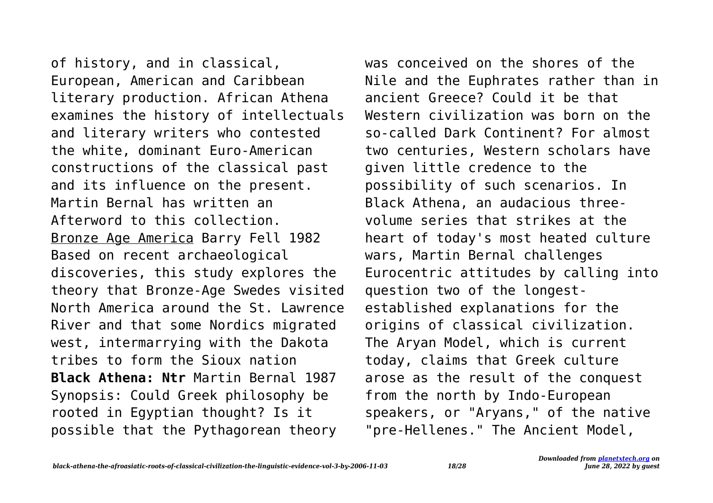of history, and in classical, European, American and Caribbean literary production. African Athena examines the history of intellectuals and literary writers who contested the white, dominant Euro-American constructions of the classical past and its influence on the present. Martin Bernal has written an Afterword to this collection. Bronze Age America Barry Fell 1982 Based on recent archaeological discoveries, this study explores the theory that Bronze-Age Swedes visited North America around the St. Lawrence River and that some Nordics migrated west, intermarrying with the Dakota tribes to form the Sioux nation **Black Athena: Ntr** Martin Bernal 1987 Synopsis: Could Greek philosophy be rooted in Egyptian thought? Is it possible that the Pythagorean theory

was conceived on the shores of the Nile and the Euphrates rather than in ancient Greece? Could it be that Western civilization was born on the so-called Dark Continent? For almost two centuries, Western scholars have given little credence to the possibility of such scenarios. In Black Athena, an audacious threevolume series that strikes at the heart of today's most heated culture wars, Martin Bernal challenges Eurocentric attitudes by calling into question two of the longestestablished explanations for the origins of classical civilization. The Aryan Model, which is current today, claims that Greek culture arose as the result of the conquest from the north by Indo-European speakers, or "Aryans," of the native "pre-Hellenes." The Ancient Model,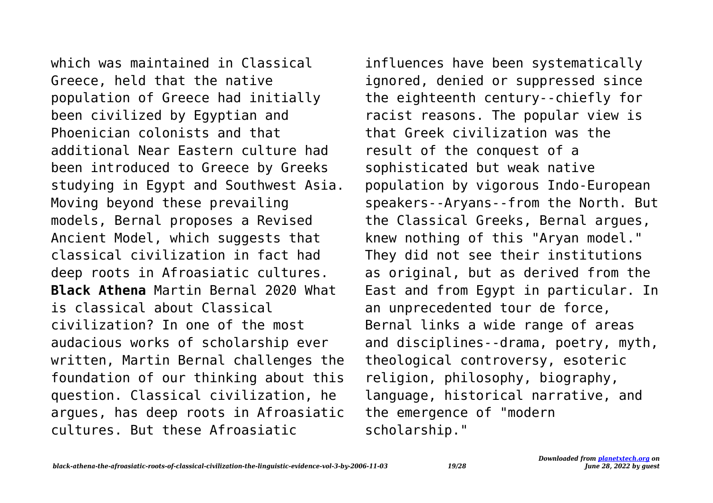which was maintained in Classical Greece, held that the native population of Greece had initially been civilized by Egyptian and Phoenician colonists and that additional Near Eastern culture had been introduced to Greece by Greeks studying in Egypt and Southwest Asia. Moving beyond these prevailing models, Bernal proposes a Revised Ancient Model, which suggests that classical civilization in fact had deep roots in Afroasiatic cultures. **Black Athena** Martin Bernal 2020 What is classical about Classical civilization? In one of the most audacious works of scholarship ever written, Martin Bernal challenges the foundation of our thinking about this question. Classical civilization, he argues, has deep roots in Afroasiatic cultures. But these Afroasiatic

influences have been systematically ignored, denied or suppressed since the eighteenth century--chiefly for racist reasons. The popular view is that Greek civilization was the result of the conquest of a sophisticated but weak native population by vigorous Indo-European speakers--Aryans--from the North. But the Classical Greeks, Bernal argues, knew nothing of this "Aryan model." They did not see their institutions as original, but as derived from the East and from Egypt in particular. In an unprecedented tour de force, Bernal links a wide range of areas and disciplines--drama, poetry, myth, theological controversy, esoteric religion, philosophy, biography, language, historical narrative, and the emergence of "modern scholarship."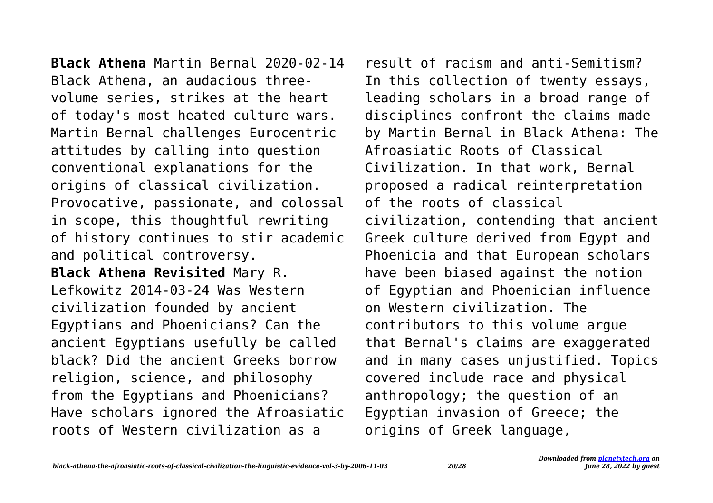**Black Athena** Martin Bernal 2020-02-14 Black Athena, an audacious threevolume series, strikes at the heart of today's most heated culture wars. Martin Bernal challenges Eurocentric attitudes by calling into question conventional explanations for the origins of classical civilization. Provocative, passionate, and colossal in scope, this thoughtful rewriting of history continues to stir academic and political controversy. **Black Athena Revisited** Mary R.

Lefkowitz 2014-03-24 Was Western civilization founded by ancient Egyptians and Phoenicians? Can the ancient Egyptians usefully be called black? Did the ancient Greeks borrow religion, science, and philosophy from the Egyptians and Phoenicians? Have scholars ignored the Afroasiatic roots of Western civilization as a

result of racism and anti-Semitism? In this collection of twenty essays, leading scholars in a broad range of disciplines confront the claims made by Martin Bernal in Black Athena: The Afroasiatic Roots of Classical Civilization. In that work, Bernal proposed a radical reinterpretation of the roots of classical civilization, contending that ancient Greek culture derived from Egypt and Phoenicia and that European scholars have been biased against the notion of Egyptian and Phoenician influence on Western civilization. The contributors to this volume argue that Bernal's claims are exaggerated and in many cases unjustified. Topics covered include race and physical anthropology; the question of an Egyptian invasion of Greece; the origins of Greek language,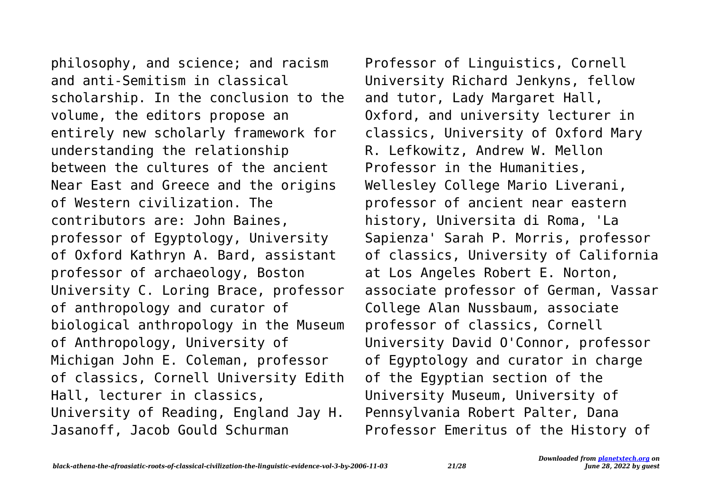philosophy, and science; and racism and anti-Semitism in classical scholarship. In the conclusion to the volume, the editors propose an entirely new scholarly framework for understanding the relationship between the cultures of the ancient Near East and Greece and the origins of Western civilization. The contributors are: John Baines, professor of Egyptology, University of Oxford Kathryn A. Bard, assistant professor of archaeology, Boston University C. Loring Brace, professor of anthropology and curator of biological anthropology in the Museum of Anthropology, University of Michigan John E. Coleman, professor of classics, Cornell University Edith Hall, lecturer in classics, University of Reading, England Jay H. Jasanoff, Jacob Gould Schurman

Professor of Linguistics, Cornell University Richard Jenkyns, fellow and tutor, Lady Margaret Hall, Oxford, and university lecturer in classics, University of Oxford Mary R. Lefkowitz, Andrew W. Mellon Professor in the Humanities, Wellesley College Mario Liverani, professor of ancient near eastern history, Universita di Roma, 'La Sapienza' Sarah P. Morris, professor of classics, University of California at Los Angeles Robert E. Norton, associate professor of German, Vassar College Alan Nussbaum, associate professor of classics, Cornell University David O'Connor, professor of Egyptology and curator in charge of the Egyptian section of the University Museum, University of Pennsylvania Robert Palter, Dana Professor Emeritus of the History of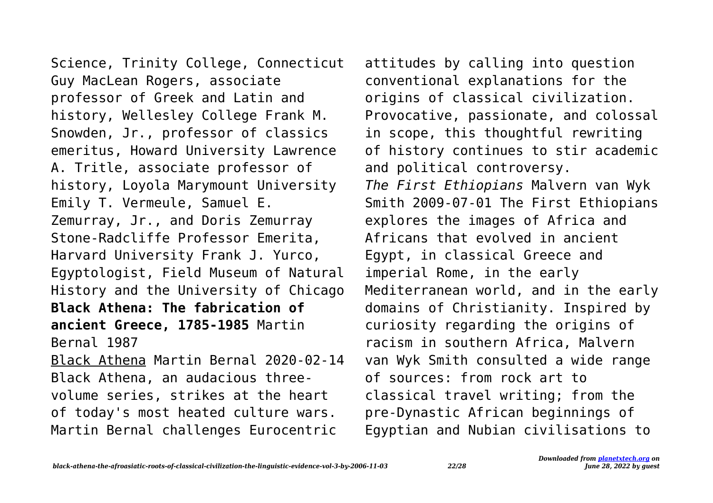Science, Trinity College, Connecticut Guy MacLean Rogers, associate professor of Greek and Latin and history, Wellesley College Frank M. Snowden, Jr., professor of classics emeritus, Howard University Lawrence A. Tritle, associate professor of history, Loyola Marymount University Emily T. Vermeule, Samuel E. Zemurray, Jr., and Doris Zemurray Stone-Radcliffe Professor Emerita, Harvard University Frank J. Yurco, Egyptologist, Field Museum of Natural History and the University of Chicago **Black Athena: The fabrication of ancient Greece, 1785-1985** Martin Bernal 1987 Black Athena Martin Bernal 2020-02-14 Black Athena, an audacious threevolume series, strikes at the heart of today's most heated culture wars. Martin Bernal challenges Eurocentric

attitudes by calling into question conventional explanations for the origins of classical civilization. Provocative, passionate, and colossal in scope, this thoughtful rewriting of history continues to stir academic and political controversy. *The First Ethiopians* Malvern van Wyk Smith 2009-07-01 The First Ethiopians explores the images of Africa and Africans that evolved in ancient Egypt, in classical Greece and imperial Rome, in the early Mediterranean world, and in the early domains of Christianity. Inspired by curiosity regarding the origins of racism in southern Africa, Malvern van Wyk Smith consulted a wide range of sources: from rock art to classical travel writing; from the pre-Dynastic African beginnings of Egyptian and Nubian civilisations to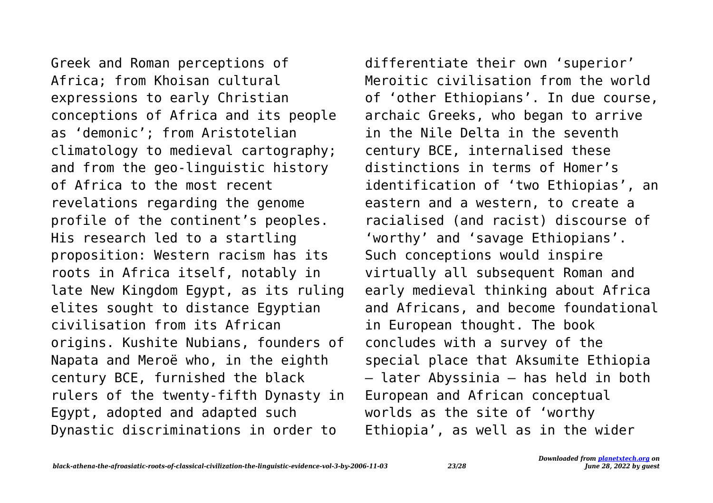Greek and Roman perceptions of Africa; from Khoisan cultural expressions to early Christian conceptions of Africa and its people as 'demonic'; from Aristotelian climatology to medieval cartography; and from the geo-linguistic history of Africa to the most recent revelations regarding the genome profile of the continent's peoples. His research led to a startling proposition: Western racism has its roots in Africa itself, notably in late New Kingdom Egypt, as its ruling elites sought to distance Egyptian civilisation from its African origins. Kushite Nubians, founders of Napata and Meroë who, in the eighth century BCE, furnished the black rulers of the twenty-fifth Dynasty in Egypt, adopted and adapted such Dynastic discriminations in order to

differentiate their own 'superior' Meroitic civilisation from the world of 'other Ethiopians'. In due course, archaic Greeks, who began to arrive in the Nile Delta in the seventh century BCE, internalised these distinctions in terms of Homer's identification of 'two Ethiopias', an eastern and a western, to create a racialised (and racist) discourse of 'worthy' and 'savage Ethiopians'. Such conceptions would inspire virtually all subsequent Roman and early medieval thinking about Africa and Africans, and become foundational in European thought. The book concludes with a survey of the special place that Aksumite Ethiopia – later Abyssinia – has held in both European and African conceptual worlds as the site of 'worthy Ethiopia', as well as in the wider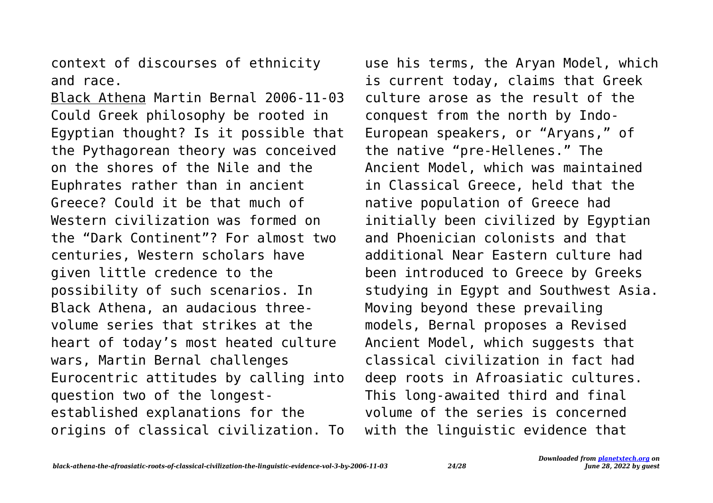context of discourses of ethnicity and race.

Black Athena Martin Bernal 2006-11-03 Could Greek philosophy be rooted in Egyptian thought? Is it possible that the Pythagorean theory was conceived on the shores of the Nile and the Euphrates rather than in ancient Greece? Could it be that much of Western civilization was formed on the "Dark Continent"? For almost two centuries, Western scholars have given little credence to the possibility of such scenarios. In Black Athena, an audacious threevolume series that strikes at the heart of today's most heated culture wars, Martin Bernal challenges Eurocentric attitudes by calling into question two of the longestestablished explanations for the origins of classical civilization. To

use his terms, the Aryan Model, which is current today, claims that Greek culture arose as the result of the conquest from the north by Indo-European speakers, or "Aryans," of the native "pre-Hellenes." The Ancient Model, which was maintained in Classical Greece, held that the native population of Greece had initially been civilized by Egyptian and Phoenician colonists and that additional Near Eastern culture had been introduced to Greece by Greeks studying in Egypt and Southwest Asia. Moving beyond these prevailing models, Bernal proposes a Revised Ancient Model, which suggests that classical civilization in fact had deep roots in Afroasiatic cultures. This long-awaited third and final volume of the series is concerned with the linguistic evidence that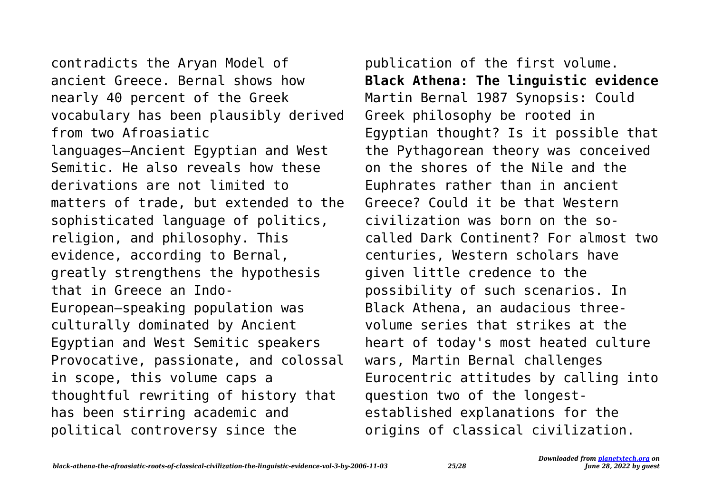contradicts the Aryan Model of ancient Greece. Bernal shows how nearly 40 percent of the Greek vocabulary has been plausibly derived from two Afroasiatic languages—Ancient Egyptian and West Semitic. He also reveals how these derivations are not limited to matters of trade, but extended to the sophisticated language of politics, religion, and philosophy. This evidence, according to Bernal, greatly strengthens the hypothesis that in Greece an Indo-European–speaking population was culturally dominated by Ancient Egyptian and West Semitic speakers Provocative, passionate, and colossal in scope, this volume caps a thoughtful rewriting of history that has been stirring academic and political controversy since the

publication of the first volume. **Black Athena: The linguistic evidence** Martin Bernal 1987 Synopsis: Could Greek philosophy be rooted in Egyptian thought? Is it possible that the Pythagorean theory was conceived on the shores of the Nile and the Euphrates rather than in ancient Greece? Could it be that Western civilization was born on the socalled Dark Continent? For almost two centuries, Western scholars have given little credence to the possibility of such scenarios. In Black Athena, an audacious threevolume series that strikes at the heart of today's most heated culture wars, Martin Bernal challenges Eurocentric attitudes by calling into question two of the longestestablished explanations for the origins of classical civilization.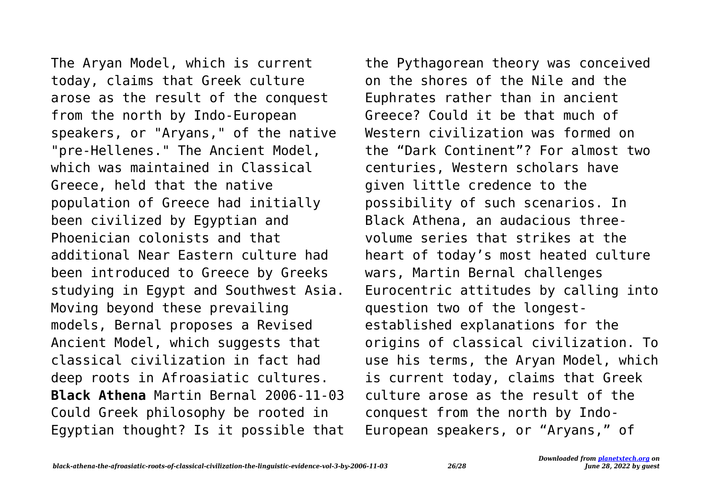The Aryan Model, which is current today, claims that Greek culture arose as the result of the conquest from the north by Indo-European speakers, or "Aryans," of the native "pre-Hellenes." The Ancient Model, which was maintained in Classical Greece, held that the native population of Greece had initially been civilized by Egyptian and Phoenician colonists and that additional Near Eastern culture had been introduced to Greece by Greeks studying in Egypt and Southwest Asia. Moving beyond these prevailing models, Bernal proposes a Revised Ancient Model, which suggests that classical civilization in fact had deep roots in Afroasiatic cultures. **Black Athena** Martin Bernal 2006-11-03 Could Greek philosophy be rooted in Egyptian thought? Is it possible that

the Pythagorean theory was conceived on the shores of the Nile and the Euphrates rather than in ancient Greece? Could it be that much of Western civilization was formed on the "Dark Continent"? For almost two centuries, Western scholars have given little credence to the possibility of such scenarios. In Black Athena, an audacious threevolume series that strikes at the heart of today's most heated culture wars, Martin Bernal challenges Eurocentric attitudes by calling into question two of the longestestablished explanations for the origins of classical civilization. To use his terms, the Aryan Model, which is current today, claims that Greek culture arose as the result of the conquest from the north by Indo-European speakers, or "Aryans," of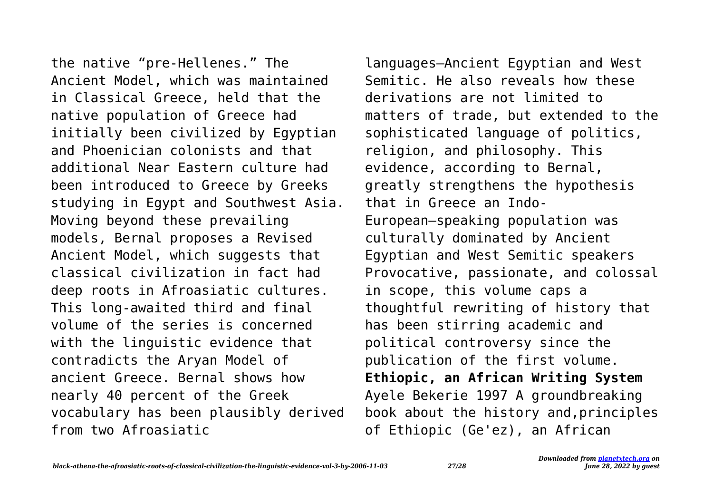the native "pre-Hellenes." The Ancient Model, which was maintained in Classical Greece, held that the native population of Greece had initially been civilized by Egyptian and Phoenician colonists and that additional Near Eastern culture had been introduced to Greece by Greeks studying in Egypt and Southwest Asia. Moving beyond these prevailing models, Bernal proposes a Revised Ancient Model, which suggests that classical civilization in fact had deep roots in Afroasiatic cultures. This long-awaited third and final volume of the series is concerned with the linguistic evidence that contradicts the Aryan Model of ancient Greece. Bernal shows how nearly 40 percent of the Greek vocabulary has been plausibly derived from two Afroasiatic

languages—Ancient Egyptian and West Semitic. He also reveals how these derivations are not limited to matters of trade, but extended to the sophisticated language of politics, religion, and philosophy. This evidence, according to Bernal, greatly strengthens the hypothesis that in Greece an Indo-European–speaking population was culturally dominated by Ancient Egyptian and West Semitic speakers Provocative, passionate, and colossal in scope, this volume caps a thoughtful rewriting of history that has been stirring academic and political controversy since the publication of the first volume. **Ethiopic, an African Writing System** Ayele Bekerie 1997 A groundbreaking book about the history and,principles of Ethiopic (Ge'ez), an African